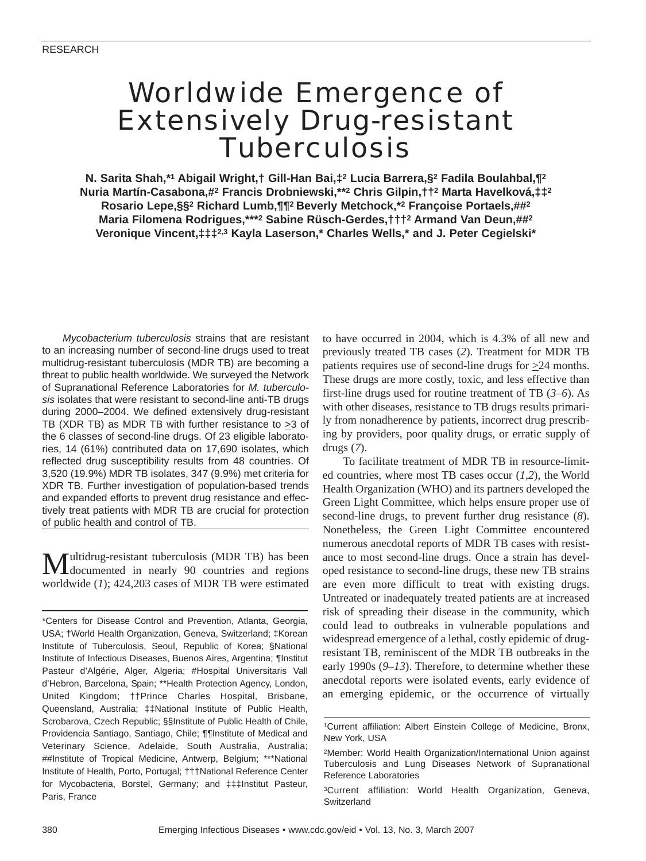# Worldwide Emergence of Extensively Drug-resistant **Tuberculosis**

**N. Sarita Shah,\*1 Abigail Wright,† Gill-Han Bai,‡2 Lucia Barrera,§2 Fadila Boulahbal,¶2 Nuria Martín-Casabona,#2 Francis Drobniewski,\*\*2 Chris Gilpin,††2 Marta Havelková,‡‡2 Rosario Lepe,§§2 Richard Lumb,¶¶2 Beverly Metchock,\*2 Françoise Portaels,##2 Maria Filomena Rodrigues,\*\*\*2 Sabine Rüsch-Gerdes,†††2 Armand Van Deun,##2 Veronique Vincent,‡‡‡2,3 Kayla Laserson,\* Charles Wells,\* and J. Peter Cegielski\***

*Mycobacterium tuberculosis* strains that are resistant to an increasing number of second-line drugs used to treat multidrug-resistant tuberculosis (MDR TB) are becoming a threat to public health worldwide. We surveyed the Network of Supranational Reference Laboratories for *M. tuberculosis* isolates that were resistant to second-line anti-TB drugs during 2000–2004. We defined extensively drug-resistant TB (XDR TB) as MDR TB with further resistance to  $\geq$ 3 of the 6 classes of second-line drugs. Of 23 eligible laboratories, 14 (61%) contributed data on 17,690 isolates, which reflected drug susceptibility results from 48 countries. Of 3,520 (19.9%) MDR TB isolates, 347 (9.9%) met criteria for XDR TB. Further investigation of population-based trends and expanded efforts to prevent drug resistance and effectively treat patients with MDR TB are crucial for protection of public health and control of TB.

Multidrug-resistant tuberculosis (MDR TB) has been documented in nearly 90 countries and regions worldwide (*1*); 424,203 cases of MDR TB were estimated to have occurred in 2004, which is 4.3% of all new and previously treated TB cases (*2*). Treatment for MDR TB patients requires use of second-line drugs for  $\geq 24$  months. These drugs are more costly, toxic, and less effective than first-line drugs used for routine treatment of TB (*3*–*6*). As with other diseases, resistance to TB drugs results primarily from nonadherence by patients, incorrect drug prescribing by providers, poor quality drugs, or erratic supply of drugs (*7*).

To facilitate treatment of MDR TB in resource-limited countries, where most TB cases occur (*1*,*2*), the World Health Organization (WHO) and its partners developed the Green Light Committee, which helps ensure proper use of second-line drugs, to prevent further drug resistance (*8*). Nonetheless, the Green Light Committee encountered numerous anecdotal reports of MDR TB cases with resistance to most second-line drugs. Once a strain has developed resistance to second-line drugs, these new TB strains are even more difficult to treat with existing drugs. Untreated or inadequately treated patients are at increased risk of spreading their disease in the community, which could lead to outbreaks in vulnerable populations and widespread emergence of a lethal, costly epidemic of drugresistant TB, reminiscent of the MDR TB outbreaks in the early 1990s (*9*–*13*). Therefore, to determine whether these anecdotal reports were isolated events, early evidence of an emerging epidemic, or the occurrence of virtually

<sup>\*</sup>Centers for Disease Control and Prevention, Atlanta, Georgia, USA; †World Health Organization, Geneva, Switzerland; ‡Korean Institute of Tuberculosis, Seoul, Republic of Korea; §National Institute of Infectious Diseases, Buenos Aires, Argentina; ¶Institut Pasteur d'Algérie, Alger, Algeria; #Hospital Universitaris Vall d'Hebron, Barcelona, Spain; \*\*Health Protection Agency, London, United Kingdom; ††Prince Charles Hospital, Brisbane, Queensland, Australia; ‡‡National Institute of Public Health, Scrobarova, Czech Republic; §§Institute of Public Health of Chile, Providencia Santiago, Santiago, Chile; ¶¶Institute of Medical and Veterinary Science, Adelaide, South Australia, Australia; ##Institute of Tropical Medicine, Antwerp, Belgium; \*\*\*National Institute of Health, Porto, Portugal; †††National Reference Center for Mycobacteria, Borstel, Germany; and ‡‡‡Institut Pasteur, Paris, France

<sup>1</sup>Current affiliation: Albert Einstein College of Medicine, Bronx, New York, USA

<sup>2</sup>Member: World Health Organization/International Union against Tuberculosis and Lung Diseases Network of Supranational Reference Laboratories

<sup>3</sup>Current affiliation: World Health Organization, Geneva, **Switzerland**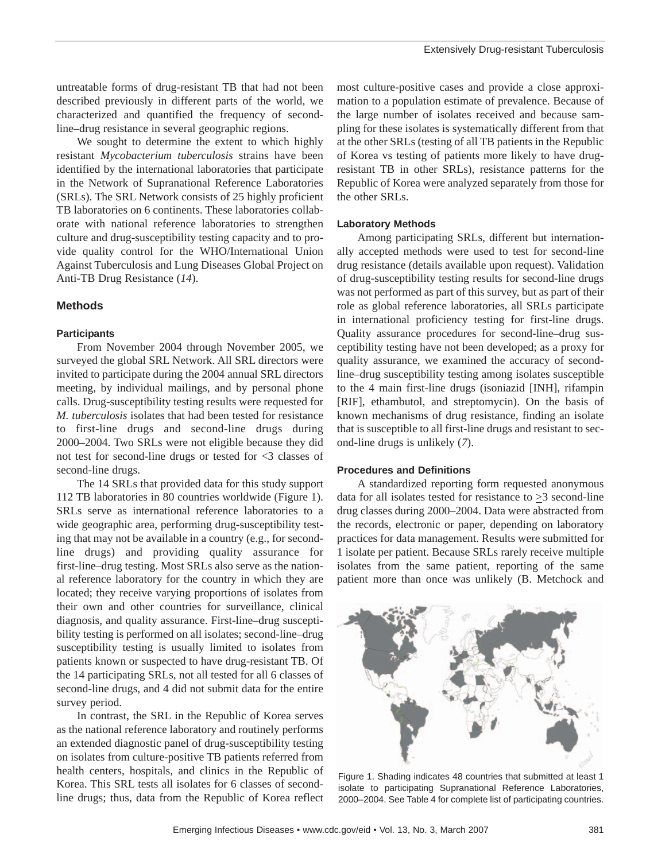untreatable forms of drug-resistant TB that had not been described previously in different parts of the world, we characterized and quantified the frequency of secondline–drug resistance in several geographic regions.

We sought to determine the extent to which highly resistant *Mycobacterium tuberculosis* strains have been identified by the international laboratories that participate in the Network of Supranational Reference Laboratories (SRLs). The SRL Network consists of 25 highly proficient TB laboratories on 6 continents. These laboratories collaborate with national reference laboratories to strengthen culture and drug-susceptibility testing capacity and to provide quality control for the WHO/International Union Against Tuberculosis and Lung Diseases Global Project on Anti-TB Drug Resistance (*14*).

# **Methods**

#### **Participants**

From November 2004 through November 2005, we surveyed the global SRL Network. All SRL directors were invited to participate during the 2004 annual SRL directors meeting, by individual mailings, and by personal phone calls. Drug-susceptibility testing results were requested for *M. tuberculosis* isolates that had been tested for resistance to first-line drugs and second-line drugs during 2000–2004. Two SRLs were not eligible because they did not test for second-line drugs or tested for <3 classes of second-line drugs.

The 14 SRLs that provided data for this study support 112 TB laboratories in 80 countries worldwide (Figure 1). SRLs serve as international reference laboratories to a wide geographic area, performing drug-susceptibility testing that may not be available in a country (e.g., for secondline drugs) and providing quality assurance for first-line–drug testing. Most SRLs also serve as the national reference laboratory for the country in which they are located; they receive varying proportions of isolates from their own and other countries for surveillance, clinical diagnosis, and quality assurance. First-line–drug susceptibility testing is performed on all isolates; second-line–drug susceptibility testing is usually limited to isolates from patients known or suspected to have drug-resistant TB. Of the 14 participating SRLs, not all tested for all 6 classes of second-line drugs, and 4 did not submit data for the entire survey period.

In contrast, the SRL in the Republic of Korea serves as the national reference laboratory and routinely performs an extended diagnostic panel of drug-susceptibility testing on isolates from culture-positive TB patients referred from health centers, hospitals, and clinics in the Republic of Korea. This SRL tests all isolates for 6 classes of secondline drugs; thus, data from the Republic of Korea reflect

most culture-positive cases and provide a close approximation to a population estimate of prevalence. Because of the large number of isolates received and because sampling for these isolates is systematically different from that at the other SRLs (testing of all TB patients in the Republic of Korea vs testing of patients more likely to have drugresistant TB in other SRLs), resistance patterns for the Republic of Korea were analyzed separately from those for the other SRLs.

#### **Laboratory Methods**

Among participating SRLs, different but internationally accepted methods were used to test for second-line drug resistance (details available upon request). Validation of drug-susceptibility testing results for second-line drugs was not performed as part of this survey, but as part of their role as global reference laboratories, all SRLs participate in international proficiency testing for first-line drugs. Quality assurance procedures for second-line–drug susceptibility testing have not been developed; as a proxy for quality assurance, we examined the accuracy of secondline–drug susceptibility testing among isolates susceptible to the 4 main first-line drugs (isoniazid [INH], rifampin [RIF], ethambutol, and streptomycin). On the basis of known mechanisms of drug resistance, finding an isolate that is susceptible to all first-line drugs and resistant to second-line drugs is unlikely (*7*).

## **Procedures and Definitions**

A standardized reporting form requested anonymous data for all isolates tested for resistance to  $\geq$ 3 second-line drug classes during 2000–2004. Data were abstracted from the records, electronic or paper, depending on laboratory practices for data management. Results were submitted for 1 isolate per patient. Because SRLs rarely receive multiple isolates from the same patient, reporting of the same patient more than once was unlikely (B. Metchock and



Figure 1. Shading indicates 48 countries that submitted at least 1 isolate to participating Supranational Reference Laboratories, 2000–2004. See Table 4 for complete list of participating countries.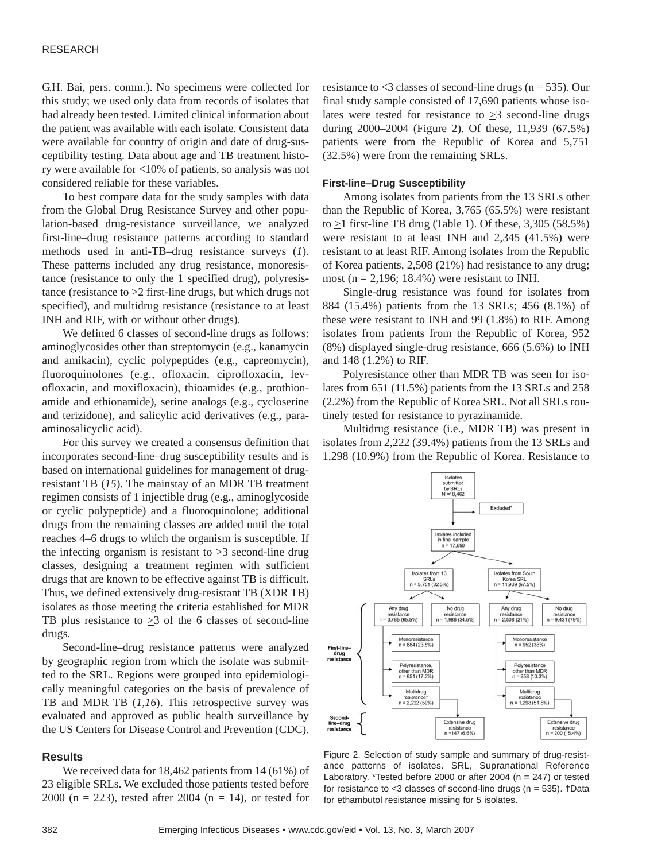## RESEARCH

G.H. Bai, pers. comm.). No specimens were collected for this study; we used only data from records of isolates that had already been tested. Limited clinical information about the patient was available with each isolate. Consistent data were available for country of origin and date of drug-susceptibility testing. Data about age and TB treatment history were available for <10% of patients, so analysis was not considered reliable for these variables.

To best compare data for the study samples with data from the Global Drug Resistance Survey and other population-based drug-resistance surveillance, we analyzed first-line–drug resistance patterns according to standard methods used in anti-TB–drug resistance surveys (*1*). These patterns included any drug resistance, monoresistance (resistance to only the 1 specified drug), polyresistance (resistance to  $\geq$  2 first-line drugs, but which drugs not specified), and multidrug resistance (resistance to at least INH and RIF, with or without other drugs).

We defined 6 classes of second-line drugs as follows: aminoglycosides other than streptomycin (e.g., kanamycin and amikacin), cyclic polypeptides (e.g., capreomycin), fluoroquinolones (e.g., ofloxacin, ciprofloxacin, levofloxacin, and moxifloxacin), thioamides (e.g., prothionamide and ethionamide), serine analogs (e.g., cycloserine and terizidone), and salicylic acid derivatives (e.g., paraaminosalicyclic acid).

For this survey we created a consensus definition that incorporates second-line–drug susceptibility results and is based on international guidelines for management of drugresistant TB (*15*). The mainstay of an MDR TB treatment regimen consists of 1 injectible drug (e.g., aminoglycoside or cyclic polypeptide) and a fluoroquinolone; additional drugs from the remaining classes are added until the total reaches 4–6 drugs to which the organism is susceptible. If the infecting organism is resistant to  $\geq$ 3 second-line drug classes, designing a treatment regimen with sufficient drugs that are known to be effective against TB is difficult. Thus, we defined extensively drug-resistant TB (XDR TB) isolates as those meeting the criteria established for MDR TB plus resistance to  $\geq$ 3 of the 6 classes of second-line drugs.

Second-line–drug resistance patterns were analyzed by geographic region from which the isolate was submitted to the SRL. Regions were grouped into epidemiologically meaningful categories on the basis of prevalence of TB and MDR TB (*1,16*). This retrospective survey was evaluated and approved as public health surveillance by the US Centers for Disease Control and Prevention (CDC).

#### **Results**

We received data for 18,462 patients from 14 (61%) of 23 eligible SRLs. We excluded those patients tested before 2000 (n = 223), tested after 2004 (n = 14), or tested for

resistance to  $\leq$ 3 classes of second-line drugs (n = 535). Our final study sample consisted of 17,690 patients whose isolates were tested for resistance to  $\geq$ 3 second-line drugs during 2000–2004 (Figure 2). Of these, 11,939 (67.5%) patients were from the Republic of Korea and 5,751 (32.5%) were from the remaining SRLs.

#### **First-line–Drug Susceptibility**

Among isolates from patients from the 13 SRLs other than the Republic of Korea, 3,765 (65.5%) were resistant to  $\geq$ 1 first-line TB drug (Table 1). Of these, 3,305 (58.5%) were resistant to at least INH and 2,345 (41.5%) were resistant to at least RIF. Among isolates from the Republic of Korea patients, 2,508 (21%) had resistance to any drug; most ( $n = 2,196$ ; 18.4%) were resistant to INH.

Single-drug resistance was found for isolates from 884 (15.4%) patients from the 13 SRLs; 456 (8.1%) of these were resistant to INH and 99 (1.8%) to RIF. Among isolates from patients from the Republic of Korea, 952 (8%) displayed single-drug resistance, 666 (5.6%) to INH and 148 (1.2%) to RIF.

Polyresistance other than MDR TB was seen for isolates from 651 (11.5%) patients from the 13 SRLs and 258 (2.2%) from the Republic of Korea SRL. Not all SRLs routinely tested for resistance to pyrazinamide.

Multidrug resistance (i.e., MDR TB) was present in isolates from 2,222 (39.4%) patients from the 13 SRLs and 1,298 (10.9%) from the Republic of Korea. Resistance to



Figure 2. Selection of study sample and summary of drug-resistance patterns of isolates. SRL, Supranational Reference Laboratory. \*Tested before 2000 or after 2004 (n = 247) or tested for resistance to <3 classes of second-line drugs (n = 535). †Data for ethambutol resistance missing for 5 isolates.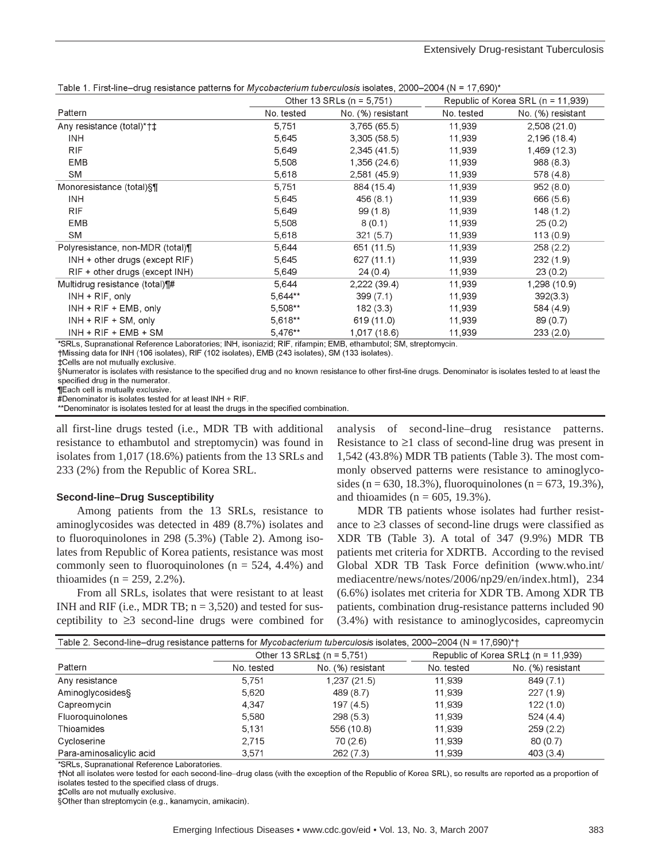|                                     | Other 13 SRLs ( $n = 5,751$ ) |                   | Republic of Korea SRL (n = 11,939) |                   |
|-------------------------------------|-------------------------------|-------------------|------------------------------------|-------------------|
| Pattern                             | No. tested                    | No. (%) resistant | No. tested                         | No. (%) resistant |
| Any resistance (total)*†‡           | 5,751                         | 3,765(65.5)       | 11,939                             | 2,508(21.0)       |
| <b>INH</b>                          | 5,645                         | 3,305(58.5)       | 11,939                             | 2,196(18.4)       |
| <b>RIF</b>                          | 5,649                         | 2,345(41.5)       | 11,939                             | 1,469 (12.3)      |
| <b>EMB</b>                          | 5,508                         | 1,356 (24.6)      | 11,939                             | 988(8.3)          |
| SM                                  | 5,618                         | 2,581 (45.9)      | 11,939                             | 578 (4.8)         |
| Monoresistance (total)§¶            | 5,751                         | 884 (15.4)        | 11,939                             | 952(8.0)          |
| <b>INH</b>                          | 5,645                         | 456 (8.1)         | 11,939                             | 666 (5.6)         |
| <b>RIF</b>                          | 5,649                         | 99(1.8)           | 11,939                             | 148(1.2)          |
| EMB                                 | 5,508                         | 8(0.1)            | 11,939                             | 25(0.2)           |
| <b>SM</b>                           | 5,618                         | 321(5.7)          | 11,939                             | 113(0.9)          |
| Polyresistance, non-MDR (total)¶    | 5,644                         | 651 (11.5)        | 11,939                             | 258(2.2)          |
| $INH + other drugs$ (except $RIF$ ) | 5,645                         | 627 (11.1)        | 11,939                             | 232(1.9)          |
| $RIF + other drugs (except INH)$    | 5,649                         | 24(0.4)           | 11,939                             | 23(0.2)           |
| Multidrug resistance (total) [#     | 5,644                         | $2,222$ (39.4)    | 11,939                             | 1,298 (10.9)      |
| $INH + RIF$ , only                  | 5,644**                       | 399(7.1)          | 11,939                             | 392(3.3)          |
| $INH + RIF + EMB$ , only            | 5,508**                       | 182(3.3)          | 11,939                             | 584 (4.9)         |
| $INH + RIF + SM$ , only             | 5,618**                       | 619 (11.0)        | 11,939                             | 89(0.7)           |
| $INH + RIF + EMB + SM$              | 5,476**                       | 1,017 (18.6)      | 11,939                             | 233(2.0)          |

Table 1 First-line-drug resistance patterns for *Mycobacterium tuberculosis* isolates 2000-2004 (N = 17.690)\*

SRLs, Supranational Reference Laboratories; INH, isoniazid; RIF, rifampin; EMB, ethambutol; SM, streptomycin.

†Missing data for INH (106 isolates), RIF (102 isolates), EMB (243 isolates), SM (133 isolates).

‡Cells are not mutually exclusive.

§Numerator is isolates with resistance to the specified drug and no known resistance to other first-line drugs. Denominator is isolates tested to at least the specified drug in the numerator.

**TEach cell is mutually exclusive** 

#Denominator is isolates tested for at least INH + RIF

\*\*Denominator is isolates tested for at least the drugs in the specified combination.

all first-line drugs tested (i.e., MDR TB with additional resistance to ethambutol and streptomycin) was found in isolates from 1,017 (18.6%) patients from the 13 SRLs and 233 (2%) from the Republic of Korea SRL.

#### **Second-line–Drug Susceptibility**

Among patients from the 13 SRLs, resistance to aminoglycosides was detected in 489 (8.7%) isolates and to fluoroquinolones in 298 (5.3%) (Table 2). Among isolates from Republic of Korea patients, resistance was most commonly seen to fluoroquinolones ( $n = 524, 4.4\%$ ) and thioamides ( $n = 259, 2.2\%$ ).

From all SRLs, isolates that were resistant to at least INH and RIF (i.e., MDR TB;  $n = 3,520$ ) and tested for susceptibility to ≥3 second-line drugs were combined for

analysis of second-line–drug resistance patterns. Resistance to  $\geq 1$  class of second-line drug was present in 1,542 (43.8%) MDR TB patients (Table 3). The most commonly observed patterns were resistance to aminoglycosides (n = 630, 18.3%), fluoroquinolones (n = 673, 19.3%), and thioamides ( $n = 605$ , 19.3%).

MDR TB patients whose isolates had further resistance to ≥3 classes of second-line drugs were classified as XDR TB (Table 3). A total of 347 (9.9%) MDR TB patients met criteria for XDRTB. According to the revised Global XDR TB Task Force definition (www.who.int/ mediacentre/news/notes/2006/np29/en/index.html), 234 (6.6%) isolates met criteria for XDR TB. Among XDR TB patients, combination drug-resistance patterns included 90 (3.4%) with resistance to aminoglycosides, capreomycin

| Table 2. Second-line–drug resistance patterns for Mycobacterium tuberculosis isolates, 2000–2004 (N = 17,690)*† |                                 |                   |                                     |                   |
|-----------------------------------------------------------------------------------------------------------------|---------------------------------|-------------------|-------------------------------------|-------------------|
|                                                                                                                 | Other 13 SRLs $\pm$ (n = 5.751) |                   | Republic of Korea SRL‡ (n = 11,939) |                   |
| Pattern                                                                                                         | No. tested                      | No. (%) resistant | No. tested                          | No. (%) resistant |
| Any resistance                                                                                                  | 5.751                           | 1,237 (21.5)      | 11.939                              | 849 (7.1)         |
| Aminoglycosides§                                                                                                | 5,620                           | 489 (8.7)         | 11,939                              | 227(1.9)          |
| Capreomycin                                                                                                     | 4,347                           | 197 (4.5)         | 11,939                              | 122(1.0)          |
| Fluoroquinolones                                                                                                | 5,580                           | 298(5.3)          | 11,939                              | 524(4.4)          |
| Thioamides                                                                                                      | 5.131                           | 556 (10.8)        | 11.939                              | 259(2.2)          |
| Cycloserine                                                                                                     | 2.715                           | 70(2.6)           | 11.939                              | 80(0.7)           |
| Para-aminosalicylic acid                                                                                        | 3.571                           | 262(7.3)          | 11.939                              | 403(3.4)          |

\*SRLs, Supranational Reference Laboratories

†Not all isolates were tested for each second-line–drug class (with the exception of the Republic of Korea SRL), so results are reported as a proportion of isolates tested to the specified class of drugs.

‡Cells are not mutually exclusive.

§Other than streptomycin (e.g., kanamycin, amikacin).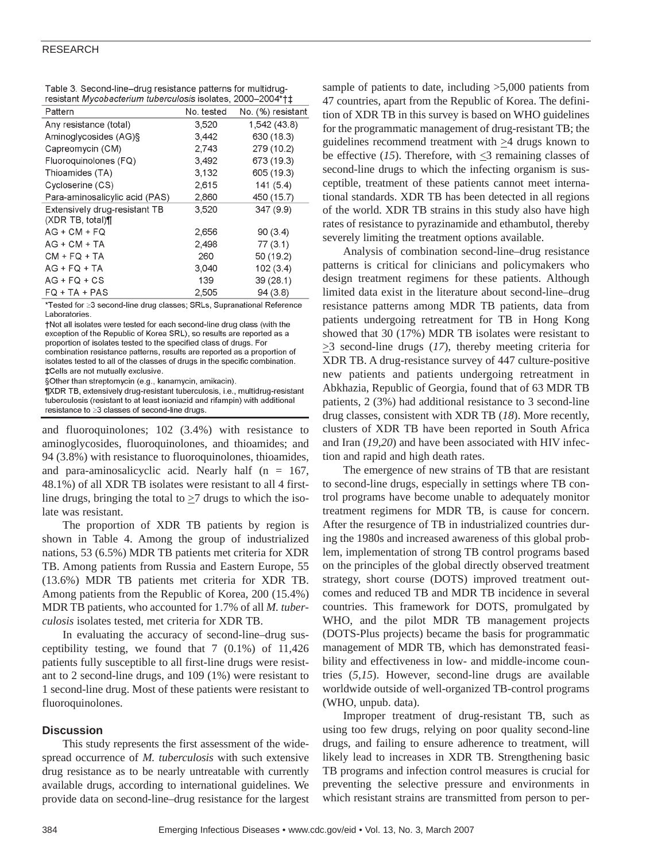## RESEARCH

| Table 3. Second-line-drug resistance patterns for multidrug- |  |
|--------------------------------------------------------------|--|
| resistant Mycobacterium tuberculosis isolates, 2000-2004*†‡  |  |

| Pattern                        | No. tested | No. (%) resistant |
|--------------------------------|------------|-------------------|
| Any resistance (total)         | 3,520      | 1,542 (43.8)      |
| Aminoglycosides (AG)§          | 3,442      | 630 (18.3)        |
| Capreomycin (CM)               | 2,743      | 279 (10.2)        |
| Fluoroquinolones (FQ)          | 3,492      | 673 (19.3)        |
| Thioamides (TA)                | 3,132      | 605 (19.3)        |
| Cycloserine (CS)               | 2.615      | 141(5.4)          |
| Para-aminosalicylic acid (PAS) | 2,860      | 450 (15.7)        |
| Extensively drug-resistant TB  | 3,520      | 347 (9.9)         |
| (XDR TB, total)¶               |            |                   |
| AG + CM + FQ                   | 2,656      | 90(3.4)           |
| $AG + CM + TA$                 | 2,498      | 77(3.1)           |
| $CM + FQ + TA$                 | 260        | 50 (19.2)         |
| $AG + FQ + TA$                 | 3,040      | 102(3.4)          |
| $AG + FQ + CS$                 | 139        | 39(28.1)          |
| $FQ + TA + PAS$                | 2,505      | 94(3.8)           |

\*Tested for ≥3 second-line drug classes; SRLs, Supranational Reference Laboratories

†Not all isolates were tested for each second-line drug class (with the exception of the Republic of Korea SRL), so results are reported as a proportion of isolates tested to the specified class of drugs. For combination resistance patterns, results are reported as a proportion of isolates tested to all of the classes of drugs in the specific combination. ‡Cells are not mutually exclusive.

§Other than streptomycin (e.g., kanamycin, amikacin).

¶XDR TB, extensively drug-resistant tuberculosis, i.e., multidrug-resistant tuberculosis (resistant to at least isoniazid and rifampin) with additional resistance to ≥3 classes of second-line drugs.

and fluoroquinolones; 102 (3.4%) with resistance to aminoglycosides, fluoroquinolones, and thioamides; and 94 (3.8%) with resistance to fluoroquinolones, thioamides, and para-aminosalicyclic acid. Nearly half  $(n = 167,$ 48.1%) of all XDR TB isolates were resistant to all 4 firstline drugs, bringing the total to  $\geq$ 7 drugs to which the isolate was resistant.

The proportion of XDR TB patients by region is shown in Table 4. Among the group of industrialized nations, 53 (6.5%) MDR TB patients met criteria for XDR TB. Among patients from Russia and Eastern Europe, 55 (13.6%) MDR TB patients met criteria for XDR TB. Among patients from the Republic of Korea, 200 (15.4%) MDR TB patients, who accounted for 1.7% of all *M. tuberculosis* isolates tested, met criteria for XDR TB.

In evaluating the accuracy of second-line–drug susceptibility testing, we found that 7 (0.1%) of 11,426 patients fully susceptible to all first-line drugs were resistant to 2 second-line drugs, and 109 (1%) were resistant to 1 second-line drug. Most of these patients were resistant to fluoroquinolones.

# **Discussion**

This study represents the first assessment of the widespread occurrence of *M. tuberculosis* with such extensive drug resistance as to be nearly untreatable with currently available drugs, according to international guidelines. We provide data on second-line–drug resistance for the largest sample of patients to date, including >5,000 patients from 47 countries, apart from the Republic of Korea. The definition of XDR TB in this survey is based on WHO guidelines for the programmatic management of drug-resistant TB; the guidelines recommend treatment with  $\geq 4$  drugs known to be effective (*15*). Therefore, with  $\leq$ 3 remaining classes of second-line drugs to which the infecting organism is susceptible, treatment of these patients cannot meet international standards. XDR TB has been detected in all regions of the world. XDR TB strains in this study also have high rates of resistance to pyrazinamide and ethambutol, thereby severely limiting the treatment options available.

Analysis of combination second-line–drug resistance patterns is critical for clinicians and policymakers who design treatment regimens for these patients. Although limited data exist in the literature about second-line–drug resistance patterns among MDR TB patients, data from patients undergoing retreatment for TB in Hong Kong showed that 30 (17%) MDR TB isolates were resistant to  $\geq$ 3 second-line drugs (17), thereby meeting criteria for XDR TB. A drug-resistance survey of 447 culture-positive new patients and patients undergoing retreatment in Abkhazia, Republic of Georgia, found that of 63 MDR TB patients, 2 (3%) had additional resistance to 3 second-line drug classes, consistent with XDR TB (*18*). More recently, clusters of XDR TB have been reported in South Africa and Iran (*19*,*20*) and have been associated with HIV infection and rapid and high death rates.

The emergence of new strains of TB that are resistant to second-line drugs, especially in settings where TB control programs have become unable to adequately monitor treatment regimens for MDR TB, is cause for concern. After the resurgence of TB in industrialized countries during the 1980s and increased awareness of this global problem, implementation of strong TB control programs based on the principles of the global directly observed treatment strategy, short course (DOTS) improved treatment outcomes and reduced TB and MDR TB incidence in several countries. This framework for DOTS, promulgated by WHO, and the pilot MDR TB management projects (DOTS-Plus projects) became the basis for programmatic management of MDR TB, which has demonstrated feasibility and effectiveness in low- and middle-income countries (*5*,*15*). However, second-line drugs are available worldwide outside of well-organized TB-control programs (WHO, unpub. data).

Improper treatment of drug-resistant TB, such as using too few drugs, relying on poor quality second-line drugs, and failing to ensure adherence to treatment, will likely lead to increases in XDR TB. Strengthening basic TB programs and infection control measures is crucial for preventing the selective pressure and environments in which resistant strains are transmitted from person to per-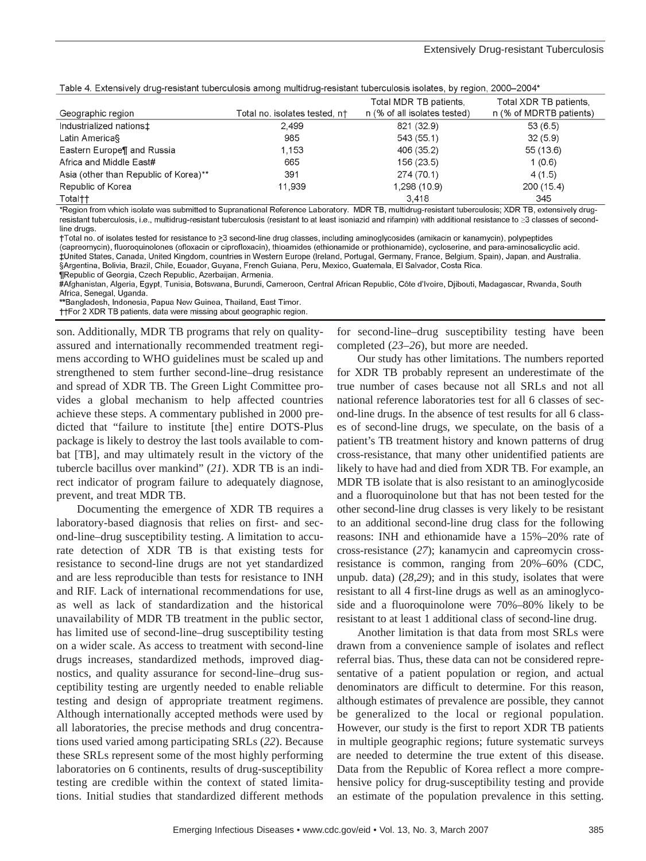|  |  | Table 4. Extensively drug-resistant tuberculosis among multidrug-resistant tuberculosis isolates, by region, 2000-2004* |  |
|--|--|-------------------------------------------------------------------------------------------------------------------------|--|
|  |  |                                                                                                                         |  |

| Geographic region                     | Total no. isolates tested, n† | Total MDR TB patients.<br>n (% of all isolates tested) | Total XDR TB patients.<br>n (% of MDRTB patients) |
|---------------------------------------|-------------------------------|--------------------------------------------------------|---------------------------------------------------|
| Industrialized nations <sup>+</sup>   | 2,499                         | 821 (32.9)                                             | 53(6.5)                                           |
| Latin America§                        | 985                           | 543 (55.1)                                             | 32(5.9)                                           |
| Eastern Europe¶ and Russia            | 1.153                         | 406 (35.2)                                             | 55(13.6)                                          |
| Africa and Middle East#               | 665                           | 156 (23.5)                                             | 1(0.6)                                            |
| Asia (other than Republic of Korea)** | 391                           | 274 (70.1)                                             | 4(1.5)                                            |
| Republic of Korea                     | 11,939                        | 1,298 (10.9)                                           | 200 (15.4)                                        |
| Total††                               |                               | 3.418                                                  | 345                                               |

\*Region from which isolate was submitted to Supranational Reference Laboratory. MDR TB, multidrug-resistant tuberculosis; XDR TB, extensively drugresistant tuberculosis, i.e., multidrug-resistant tuberculosis (resistant to at least isoniazid and rifampin) with additional resistance to ≥3 classes of secondline drugs

†Total no. of isolates tested for resistance to ≥3 second-line drug classes, including aminoglycosides (amikacin or kanamycin), polypeptides (capreomycin), fluoroquinolones (ofloxacin or ciprofloxacin), thioamides (ethionamide or prothionamide), cycloserine, and para-aminosalicyclic acid. ‡United States, Canada, United Kingdom, countries in Western Europe (Ireland, Portugal, Germany, France, Belgium, Spain), Japan, and Australia.

§Argentina, Bolivia, Brazil, Chile, Ecuador, Guyana, French Guiana, Peru, Mexico, Guatemala, El Salvador, Costa Rica.

¶Republic of Georgia, Czech Republic, Azerbaijan, Armenia.

#Afghanistan, Algeria, Egypt, Tunisia, Botswana, Burundi, Cameroon, Central African Republic, Côte d'Ivoire, Djibouti, Madagascar, Rwanda, South Africa, Senegal, Uganda.

\*\*Bangladesh, Indonesia, Papua New Guinea, Thailand, East Timor.

††For 2 XDR TB patients, data were missing about geographic region.

son. Additionally, MDR TB programs that rely on qualityassured and internationally recommended treatment regimens according to WHO guidelines must be scaled up and strengthened to stem further second-line–drug resistance and spread of XDR TB. The Green Light Committee provides a global mechanism to help affected countries achieve these steps. A commentary published in 2000 predicted that "failure to institute [the] entire DOTS-Plus package is likely to destroy the last tools available to combat [TB], and may ultimately result in the victory of the tubercle bacillus over mankind" (*21*). XDR TB is an indirect indicator of program failure to adequately diagnose, prevent, and treat MDR TB.

Documenting the emergence of XDR TB requires a laboratory-based diagnosis that relies on first- and second-line–drug susceptibility testing. A limitation to accurate detection of XDR TB is that existing tests for resistance to second-line drugs are not yet standardized and are less reproducible than tests for resistance to INH and RIF. Lack of international recommendations for use, as well as lack of standardization and the historical unavailability of MDR TB treatment in the public sector, has limited use of second-line–drug susceptibility testing on a wider scale. As access to treatment with second-line drugs increases, standardized methods, improved diagnostics, and quality assurance for second-line–drug susceptibility testing are urgently needed to enable reliable testing and design of appropriate treatment regimens. Although internationally accepted methods were used by all laboratories, the precise methods and drug concentrations used varied among participating SRLs (*22*). Because these SRLs represent some of the most highly performing laboratories on 6 continents, results of drug-susceptibility testing are credible within the context of stated limitations. Initial studies that standardized different methods

for second-line–drug susceptibility testing have been completed (*23–26*), but more are needed.

Our study has other limitations. The numbers reported for XDR TB probably represent an underestimate of the true number of cases because not all SRLs and not all national reference laboratories test for all 6 classes of second-line drugs. In the absence of test results for all 6 classes of second-line drugs, we speculate, on the basis of a patient's TB treatment history and known patterns of drug cross-resistance, that many other unidentified patients are likely to have had and died from XDR TB. For example, an MDR TB isolate that is also resistant to an aminoglycoside and a fluoroquinolone but that has not been tested for the other second-line drug classes is very likely to be resistant to an additional second-line drug class for the following reasons: INH and ethionamide have a 15%–20% rate of cross-resistance (*27*); kanamycin and capreomycin crossresistance is common, ranging from 20%–60% (CDC, unpub. data) (*28,29*); and in this study, isolates that were resistant to all 4 first-line drugs as well as an aminoglycoside and a fluoroquinolone were 70%–80% likely to be resistant to at least 1 additional class of second-line drug.

Another limitation is that data from most SRLs were drawn from a convenience sample of isolates and reflect referral bias. Thus, these data can not be considered representative of a patient population or region, and actual denominators are difficult to determine. For this reason, although estimates of prevalence are possible, they cannot be generalized to the local or regional population. However, our study is the first to report XDR TB patients in multiple geographic regions; future systematic surveys are needed to determine the true extent of this disease. Data from the Republic of Korea reflect a more comprehensive policy for drug-susceptibility testing and provide an estimate of the population prevalence in this setting.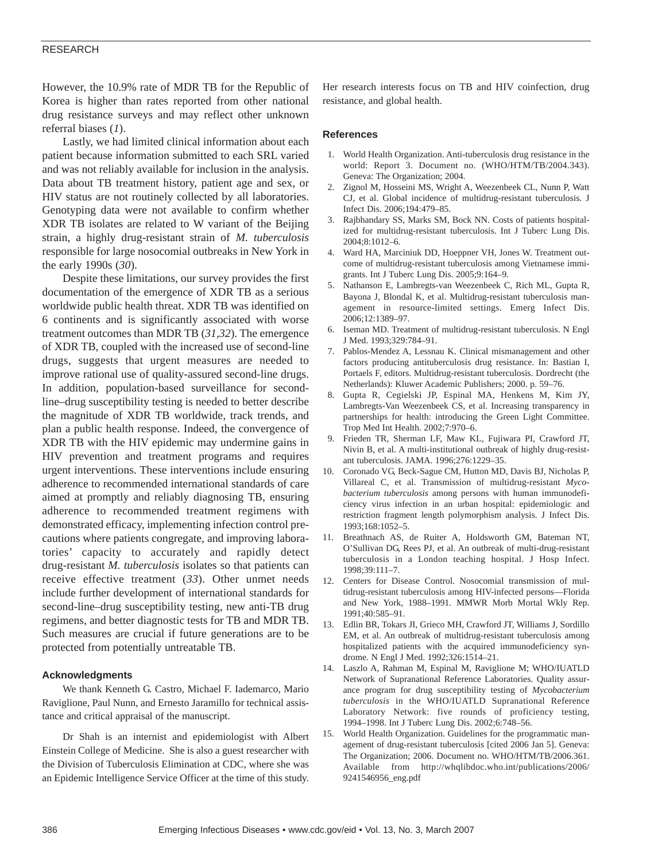## RESEARCH

However, the 10.9% rate of MDR TB for the Republic of Korea is higher than rates reported from other national drug resistance surveys and may reflect other unknown referral biases (*1*).

Lastly, we had limited clinical information about each patient because information submitted to each SRL varied and was not reliably available for inclusion in the analysis. Data about TB treatment history, patient age and sex, or HIV status are not routinely collected by all laboratories. Genotyping data were not available to confirm whether XDR TB isolates are related to W variant of the Beijing strain, a highly drug-resistant strain of *M. tuberculosis* responsible for large nosocomial outbreaks in New York in the early 1990s (*30*).

Despite these limitations, our survey provides the first documentation of the emergence of XDR TB as a serious worldwide public health threat. XDR TB was identified on 6 continents and is significantly associated with worse treatment outcomes than MDR TB (*31,32*). The emergence of XDR TB, coupled with the increased use of second-line drugs, suggests that urgent measures are needed to improve rational use of quality-assured second-line drugs. In addition, population-based surveillance for secondline–drug susceptibility testing is needed to better describe the magnitude of XDR TB worldwide, track trends, and plan a public health response. Indeed, the convergence of XDR TB with the HIV epidemic may undermine gains in HIV prevention and treatment programs and requires urgent interventions. These interventions include ensuring adherence to recommended international standards of care aimed at promptly and reliably diagnosing TB, ensuring adherence to recommended treatment regimens with demonstrated efficacy, implementing infection control precautions where patients congregate, and improving laboratories' capacity to accurately and rapidly detect drug-resistant *M. tuberculosis* isolates so that patients can receive effective treatment (*33*). Other unmet needs include further development of international standards for second-line–drug susceptibility testing, new anti-TB drug regimens, and better diagnostic tests for TB and MDR TB. Such measures are crucial if future generations are to be protected from potentially untreatable TB.

#### **Acknowledgments**

We thank Kenneth G. Castro, Michael F. Iademarco, Mario Raviglione, Paul Nunn, and Ernesto Jaramillo for technical assistance and critical appraisal of the manuscript.

Dr Shah is an internist and epidemiologist with Albert Einstein College of Medicine. She is also a guest researcher with the Division of Tuberculosis Elimination at CDC, where she was an Epidemic Intelligence Service Officer at the time of this study.

Her research interests focus on TB and HIV coinfection, drug resistance, and global health.

#### **References**

- 1. World Health Organization. Anti-tuberculosis drug resistance in the world: Report 3. Document no. (WHO/HTM/TB/2004.343). Geneva: The Organization; 2004.
- 2. Zignol M, Hosseini MS, Wright A, Weezenbeek CL, Nunn P, Watt CJ, et al. Global incidence of multidrug-resistant tuberculosis. J Infect Dis. 2006;194:479–85.
- 3. Rajbhandary SS, Marks SM, Bock NN. Costs of patients hospitalized for multidrug-resistant tuberculosis. Int J Tuberc Lung Dis. 2004;8:1012–6.
- 4. Ward HA, Marciniuk DD, Hoeppner VH, Jones W. Treatment outcome of multidrug-resistant tuberculosis among Vietnamese immigrants. Int J Tuberc Lung Dis. 2005;9:164–9.
- 5. Nathanson E, Lambregts-van Weezenbeek C, Rich ML, Gupta R, Bayona J, Blondal K, et al. Multidrug-resistant tuberculosis management in resource-limited settings. Emerg Infect Dis. 2006;12:1389–97.
- 6. Iseman MD. Treatment of multidrug-resistant tuberculosis. N Engl J Med. 1993;329:784–91.
- 7. Pablos-Mendez A, Lessnau K. Clinical mismanagement and other factors producing antituberculosis drug resistance. In: Bastian I, Portaels F, editors. Multidrug-resistant tuberculosis. Dordrecht (the Netherlands): Kluwer Academic Publishers; 2000. p. 59–76.
- 8. Gupta R, Cegielski JP, Espinal MA, Henkens M, Kim JY, Lambregts-Van Weezenbeek CS, et al. Increasing transparency in partnerships for health: introducing the Green Light Committee. Trop Med Int Health. 2002;7:970–6.
- 9. Frieden TR, Sherman LF, Maw KL, Fujiwara PI, Crawford JT, Nivin B, et al. A multi-institutional outbreak of highly drug-resistant tuberculosis. JAMA. 1996;276:1229–35.
- 10. Coronado VG, Beck-Sague CM, Hutton MD, Davis BJ, Nicholas P, Villareal C, et al. Transmission of multidrug-resistant *Mycobacterium tuberculosis* among persons with human immunodeficiency virus infection in an urban hospital: epidemiologic and restriction fragment length polymorphism analysis. J Infect Dis. 1993;168:1052–5.
- 11. Breathnach AS, de Ruiter A, Holdsworth GM, Bateman NT, O'Sullivan DG, Rees PJ, et al. An outbreak of multi-drug-resistant tuberculosis in a London teaching hospital. J Hosp Infect. 1998;39:111–7.
- 12. Centers for Disease Control. Nosocomial transmission of multidrug-resistant tuberculosis among HIV-infected persons—Florida and New York, 1988–1991. MMWR Morb Mortal Wkly Rep. 1991;40:585–91.
- 13. Edlin BR, Tokars JI, Grieco MH, Crawford JT, Williams J, Sordillo EM, et al. An outbreak of multidrug-resistant tuberculosis among hospitalized patients with the acquired immunodeficiency syndrome. N Engl J Med. 1992;326:1514–21.
- 14. Laszlo A, Rahman M, Espinal M, Raviglione M; WHO/IUATLD Network of Supranational Reference Laboratories. Quality assurance program for drug susceptibility testing of *Mycobacterium tuberculosis* in the WHO/IUATLD Supranational Reference Laboratory Network: five rounds of proficiency testing, 1994–1998. Int J Tuberc Lung Dis. 2002;6:748–56.
- 15. World Health Organization. Guidelines for the programmatic management of drug-resistant tuberculosis [cited 2006 Jan 5]. Geneva: The Organization; 2006. Document no. WHO/HTM/TB/2006.361. Available from http://whqlibdoc.who.int/publications/2006/ 9241546956\_eng.pdf